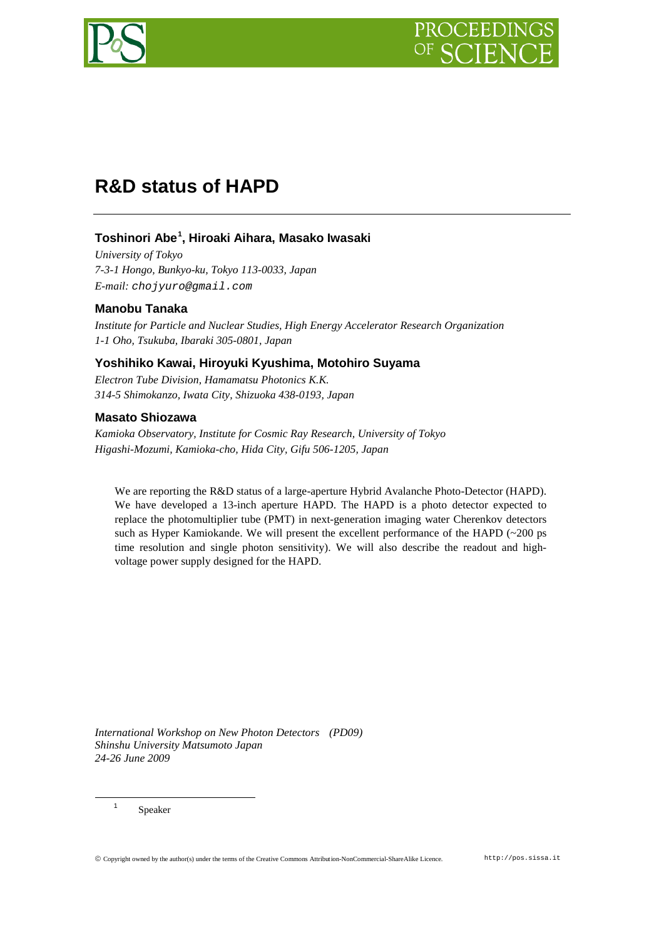

# **R&D status of HAPD**

# **Toshinori Abe[1](#page-0-0) , Hiroaki Aihara, Masako Iwasaki**

*University of Tokyo 7-3-1 Hongo, Bunkyo-ku, Tokyo 113-0033, Japan E-mail: chojyuro@gmail.com*

# **Manobu Tanaka**

*Institute for Particle and Nuclear Studies, High Energy Accelerator Research Organization 1-1 Oho, Tsukuba, Ibaraki 305-0801, Japan*

# **Yoshihiko Kawai, Hiroyuki Kyushima, Motohiro Suyama**

*Electron Tube Division, Hamamatsu Photonics K.K. 314-5 Shimokanzo, Iwata City, Shizuoka 438-0193, Japan*

# **Masato Shiozawa**

*Kamioka Observatory, Institute for Cosmic Ray Research, University of Tokyo Higashi-Mozumi, Kamioka-cho, Hida City, Gifu 506-1205, Japan*

We are reporting the R&D status of a large-aperture Hybrid Avalanche Photo-Detector (HAPD). We have developed a 13-inch aperture HAPD. The HAPD is a photo detector expected to replace the photomultiplier tube (PMT) in next-generation imaging water Cherenkov detectors such as Hyper Kamiokande. We will present the excellent performance of the HAPD (~200 ps time resolution and single photon sensitivity). We will also describe the readout and highvoltage power supply designed for the HAPD.

*International Workshop on New Photon Detectors (PD09) Shinshu University Matsumoto Japan 24-26 June 2009*

<span id="page-0-0"></span><sup>1</sup> Speaker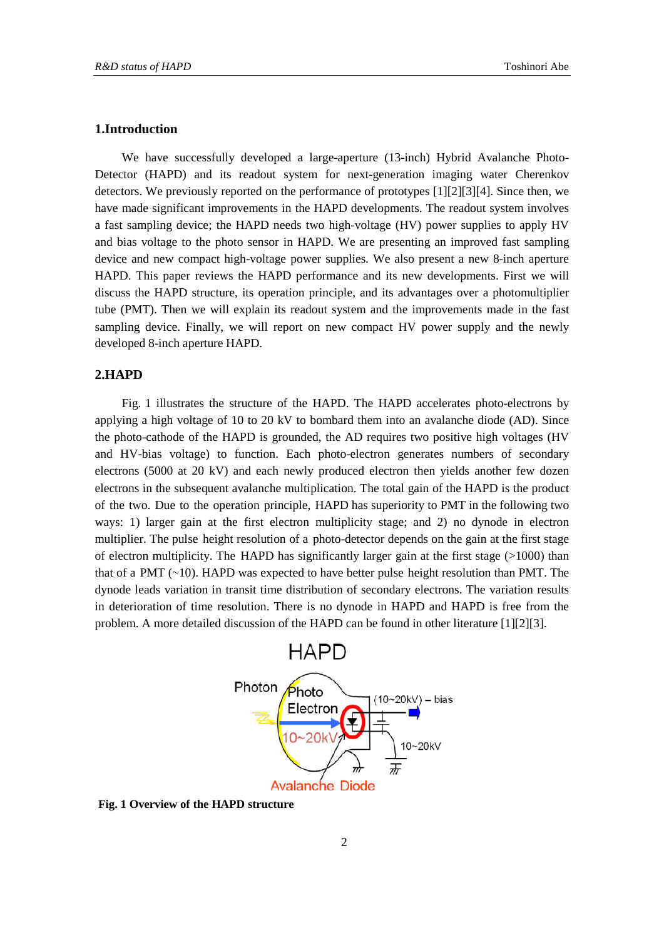### **1.Introduction**

We have successfully developed a large-aperture (13-inch) Hybrid Avalanche Photo-Detector (HAPD) and its readout system for next-generation imaging water Cherenkov detectors. We previously reported on the performance of prototypes [\[1\]\[2\]](#page-5-0)[\[3\]\[4\].](#page-5-1) Since then, we have made significant improvements in the HAPD developments. The readout system involves a fast sampling device; the HAPD needs two high-voltage (HV) power supplies to apply HV and bias voltage to the photo sensor in HAPD. We are presenting an improved fast sampling device and new compact high-voltage power supplies. We also present a new 8-inch aperture HAPD. This paper reviews the HAPD performance and its new developments. First we will discuss the HAPD structure, its operation principle, and its advantages over a photomultiplier tube (PMT). Then we will explain its readout system and the improvements made in the fast sampling device. Finally, we will report on new compact HV power supply and the newly developed 8-inch aperture HAPD.

# <span id="page-1-1"></span>**2.HAPD**

[Fig. 1](#page-1-0) illustrates the structure of the HAPD. The HAPD accelerates photo-electrons by applying a high voltage of 10 to 20 kV to bombard them into an avalanche diode (AD). Since the photo-cathode of the HAPD is grounded, the AD requires two positive high voltages (HV and HV-bias voltage) to function. Each photo-electron generates numbers of secondary electrons (5000 at 20 kV) and each newly produced electron then yields another few dozen electrons in the subsequent avalanche multiplication. The total gain of the HAPD is the product of the two. Due to the operation principle, HAPD has superiority to PMT in the following two ways: 1) larger gain at the first electron multiplicity stage; and 2) no dynode in electron multiplier. The pulse height resolution of a photo-detector depends on the gain at the first stage of electron multiplicity. The HAPD has significantly larger gain at the first stage  $(>1000)$  than that of a PMT  $(\sim 10)$ . HAPD was expected to have better pulse height resolution than PMT. The dynode leads variation in transit time distribution of secondary electrons. The variation results in deterioration of time resolution. There is no dynode in HAPD and HAPD is free from the problem. A more detailed discussion of the HAPD can be found in other literature [\[1\]\[2\]](#page-5-0)[\[3\].](#page-5-1)



<span id="page-1-0"></span>**Fig. 1 Overview of the HAPD structure**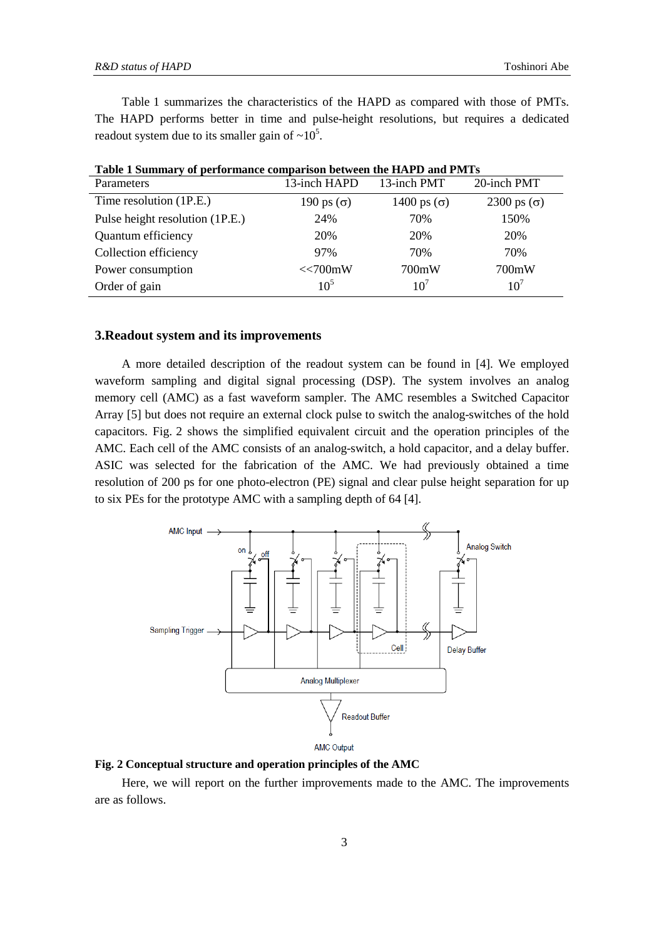[Table 1](#page-2-0) summarizes the characteristics of the HAPD as compared with those of PMTs. The HAPD performs better in time and pulse-height resolutions, but requires a dedicated readout system due to its smaller gain of  $\sim 10^5$ .

| Table T Summaly of performance comparison between the TIAT D and I MTS |                   |                    |                    |
|------------------------------------------------------------------------|-------------------|--------------------|--------------------|
| Parameters                                                             | 13-inch HAPD      | 13-inch PMT        | 20-inch PMT        |
| Time resolution (1P.E.)                                                | 190 ps $(\sigma)$ | 1400 ps $(\sigma)$ | 2300 ps $(\sigma)$ |
| Pulse height resolution (1P.E.)                                        | 24%               | 70%                | 150%               |
| Quantum efficiency                                                     | 20%               | 20%                | 20%                |
| Collection efficiency                                                  | 97%               | 70%                | 70%                |
| Power consumption                                                      | <<700mW           | 700mW              | 700mW              |
| Order of gain                                                          | $10^{5}$          | 10 <sup>7</sup>    | 10 <sup>7</sup>    |

<span id="page-2-0"></span>**Table 1 Summary of performance comparison between the HAPD and PMTs**

#### **3.Readout system and its improvements**

A more detailed description of the readout system can be found in [\[4\].](#page-5-2) We employed waveform sampling and digital signal processing (DSP). The system involves an analog memory cell (AMC) as a fast waveform sampler. The AMC resembles a Switched Capacitor Array [\[5\]](#page-5-3) but does not require an external clock pulse to switch the analog-switches of the hold capacitors. [Fig. 2](#page-2-1) shows the simplified equivalent circuit and the operation principles of the AMC. Each cell of the AMC consists of an analog-switch, a hold capacitor, and a delay buffer. ASIC was selected for the fabrication of the AMC. We had previously obtained a time resolution of 200 ps for one photo-electron (PE) signal and clear pulse height separation for up to six PEs for the prototype AMC with a sampling depth of 64 [\[4\].](#page-5-2)



<span id="page-2-1"></span>**Fig. 2 Conceptual structure and operation principles of the AMC**

Here, we will report on the further improvements made to the AMC. The improvements are as follows.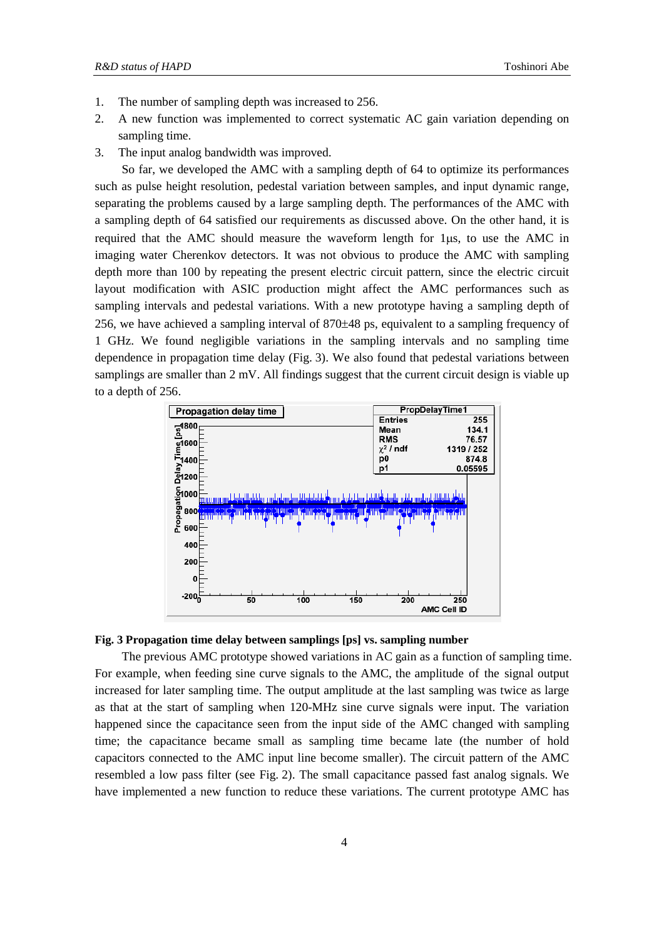- 1. The number of sampling depth was increased to 256.
- 2. A new function was implemented to correct systematic AC gain variation depending on sampling time.
- 3. The input analog bandwidth was improved.

So far, we developed the AMC with a sampling depth of 64 to optimize its performances such as pulse height resolution, pedestal variation between samples, and input dynamic range, separating the problems caused by a large sampling depth. The performances of the AMC with a sampling depth of 64 satisfied our requirements as discussed above. On the other hand, it is required that the AMC should measure the waveform length for 1µs, to use the AMC in imaging water Cherenkov detectors. It was not obvious to produce the AMC with sampling depth more than 100 by repeating the present electric circuit pattern, since the electric circuit layout modification with ASIC production might affect the AMC performances such as sampling intervals and pedestal variations. With a new prototype having a sampling depth of 256, we have achieved a sampling interval of 870±48 ps, equivalent to a sampling frequency of 1 GHz. We found negligible variations in the sampling intervals and no sampling time dependence in propagation time delay [\(Fig. 3\)](#page-3-0). We also found that pedestal variations between samplings are smaller than 2 mV. All findings suggest that the current circuit design is viable up to a depth of 256.



### <span id="page-3-0"></span>**Fig. 3 Propagation time delay between samplings [ps] vs. sampling number**

The previous AMC prototype showed variations in AC gain as a function of sampling time. For example, when feeding sine curve signals to the AMC, the amplitude of the signal output increased for later sampling time. The output amplitude at the last sampling was twice as large as that at the start of sampling when 120-MHz sine curve signals were input. The variation happened since the capacitance seen from the input side of the AMC changed with sampling time; the capacitance became small as sampling time became late (the number of hold capacitors connected to the AMC input line become smaller). The circuit pattern of the AMC resembled a low pass filter (see [Fig. 2\)](#page-2-1). The small capacitance passed fast analog signals. We have implemented a new function to reduce these variations. The current prototype AMC has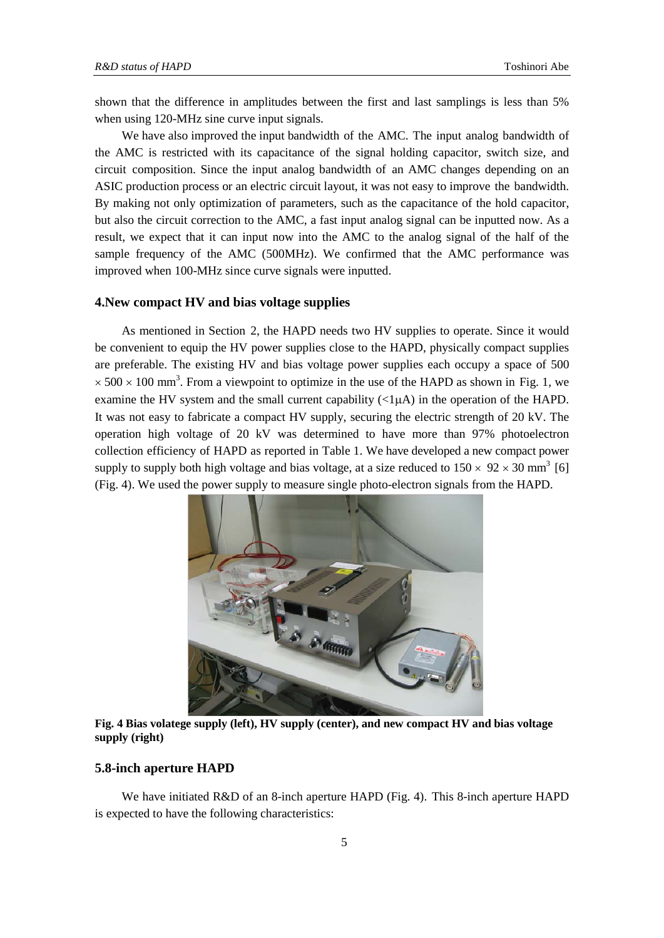shown that the difference in amplitudes between the first and last samplings is less than 5% when using 120-MHz sine curve input signals.

We have also improved the input bandwidth of the AMC. The input analog bandwidth of the AMC is restricted with its capacitance of the signal holding capacitor, switch size, and circuit composition. Since the input analog bandwidth of an AMC changes depending on an ASIC production process or an electric circuit layout, it was not easy to improve the bandwidth. By making not only optimization of parameters, such as the capacitance of the hold capacitor, but also the circuit correction to the AMC, a fast input analog signal can be inputted now. As a result, we expect that it can input now into the AMC to the analog signal of the half of the sample frequency of the AMC (500MHz). We confirmed that the AMC performance was improved when 100-MHz since curve signals were inputted.

#### **4.New compact HV and bias voltage supplies**

As mentioned in Section [2,](#page-1-1) the HAPD needs two HV supplies to operate. Since it would be convenient to equip the HV power supplies close to the HAPD, physically compact supplies are preferable. The existing HV and bias voltage power supplies each occupy a space of 500  $\times$  500  $\times$  100 mm<sup>3</sup>. From a viewpoint to optimize in the use of the HAPD as shown in [Fig. 1,](#page-1-0) we examine the HV system and the small current capability  $\langle \langle 1 \mu A \rangle$  in the operation of the HAPD. It was not easy to fabricate a compact HV supply, securing the electric strength of 20 kV. The operation high voltage of 20 kV was determined to have more than 97% photoelectron collection efficiency of HAPD as reported i[n Table 1](#page-2-0). We have developed a new compact power supply to supply both high voltage and bias voltage, at a size reduced to  $150 \times 92 \times 30$  mm<sup>3</sup> [\[6\]](#page-5-4) [\(Fig. 4\)](#page-4-0). We used the power supply to measure single photo-electron signals from the HAPD.



**Fig. 4 Bias volatege supply (left), HV supply (center), and new compact HV and bias voltage supply (right)**

#### <span id="page-4-0"></span>**5.8-inch aperture HAPD**

We have initiated R&D of an 8-inch aperture HAPD (Fig. 4). This 8-inch aperture HAPD is expected to have the following characteristics: